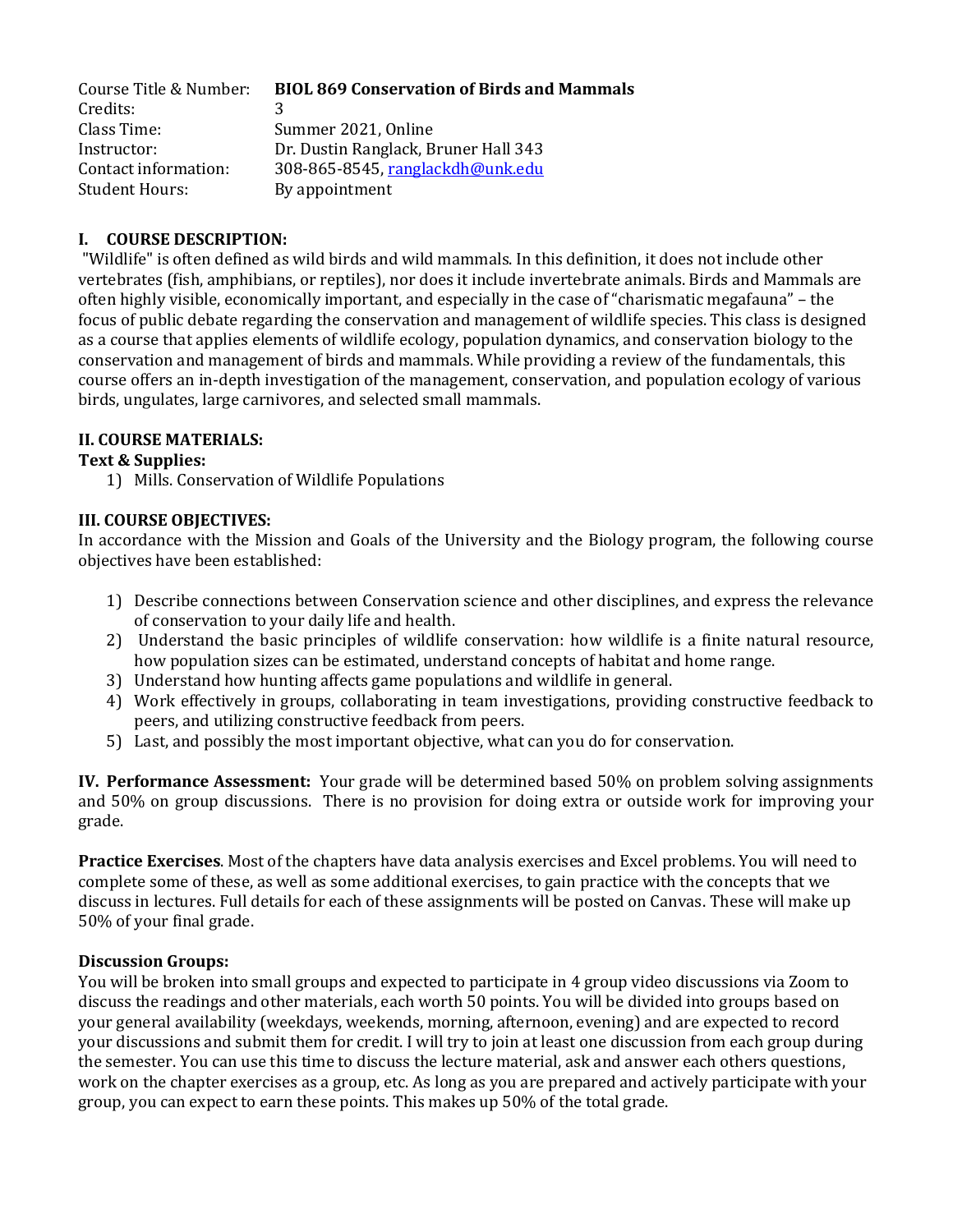| Course Title & Number: | <b>BIOL 869 Conservation of Birds and Mammals</b> |
|------------------------|---------------------------------------------------|
| Credits:               |                                                   |
| Class Time:            | Summer 2021, Online                               |
| Instructor:            | Dr. Dustin Ranglack, Bruner Hall 343              |
| Contact information:   | 308-865-8545, ranglackdh@unk.edu                  |
| Student Hours:         | By appointment                                    |

# **I. COURSE DESCRIPTION:**

"Wildlife" is often defined as wild birds and wild mammals. In this definition, it does not include other vertebrates (fish, amphibians, or reptiles), nor does it include invertebrate animals. Birds and Mammals are often highly visible, economically important, and especially in the case of "charismatic megafauna" – the focus of public debate regarding the conservation and management of wildlife species. This class is designed as a course that applies elements of wildlife ecology, population dynamics, and conservation biology to the conservation and management of birds and mammals. While providing a review of the fundamentals, this course offers an in-depth investigation of the management, conservation, and population ecology of various birds, ungulates, large carnivores, and selected small mammals.

### **II. COURSE MATERIALS:**

### **Text & Supplies:**

1) Mills. Conservation of Wildlife Populations

#### **III. COURSE OBJECTIVES:**

In accordance with the Mission and Goals of the University and the Biology program, the following course objectives have been established:

- 1) Describe connections between Conservation science and other disciplines, and express the relevance of conservation to your daily life and health.
- 2) Understand the basic principles of wildlife conservation: how wildlife is a finite natural resource, how population sizes can be estimated, understand concepts of habitat and home range.
- 3) Understand how hunting affects game populations and wildlife in general.
- 4) Work effectively in groups, collaborating in team investigations, providing constructive feedback to peers, and utilizing constructive feedback from peers.
- 5) Last, and possibly the most important objective, what can you do for conservation.

**IV. Performance Assessment:** Your grade will be determined based 50% on problem solving assignments and 50% on group discussions. There is no provision for doing extra or outside work for improving your grade.

**Practice Exercises**. Most of the chapters have data analysis exercises and Excel problems. You will need to complete some of these, as well as some additional exercises, to gain practice with the concepts that we discuss in lectures. Full details for each of these assignments will be posted on Canvas. These will make up 50% of your final grade.

#### **Discussion Groups:**

You will be broken into small groups and expected to participate in 4 group video discussions via Zoom to discuss the readings and other materials, each worth 50 points. You will be divided into groups based on your general availability (weekdays, weekends, morning, afternoon, evening) and are expected to record your discussions and submit them for credit. I will try to join at least one discussion from each group during the semester. You can use this time to discuss the lecture material, ask and answer each others questions, work on the chapter exercises as a group, etc. As long as you are prepared and actively participate with your group, you can expect to earn these points. This makes up 50% of the total grade.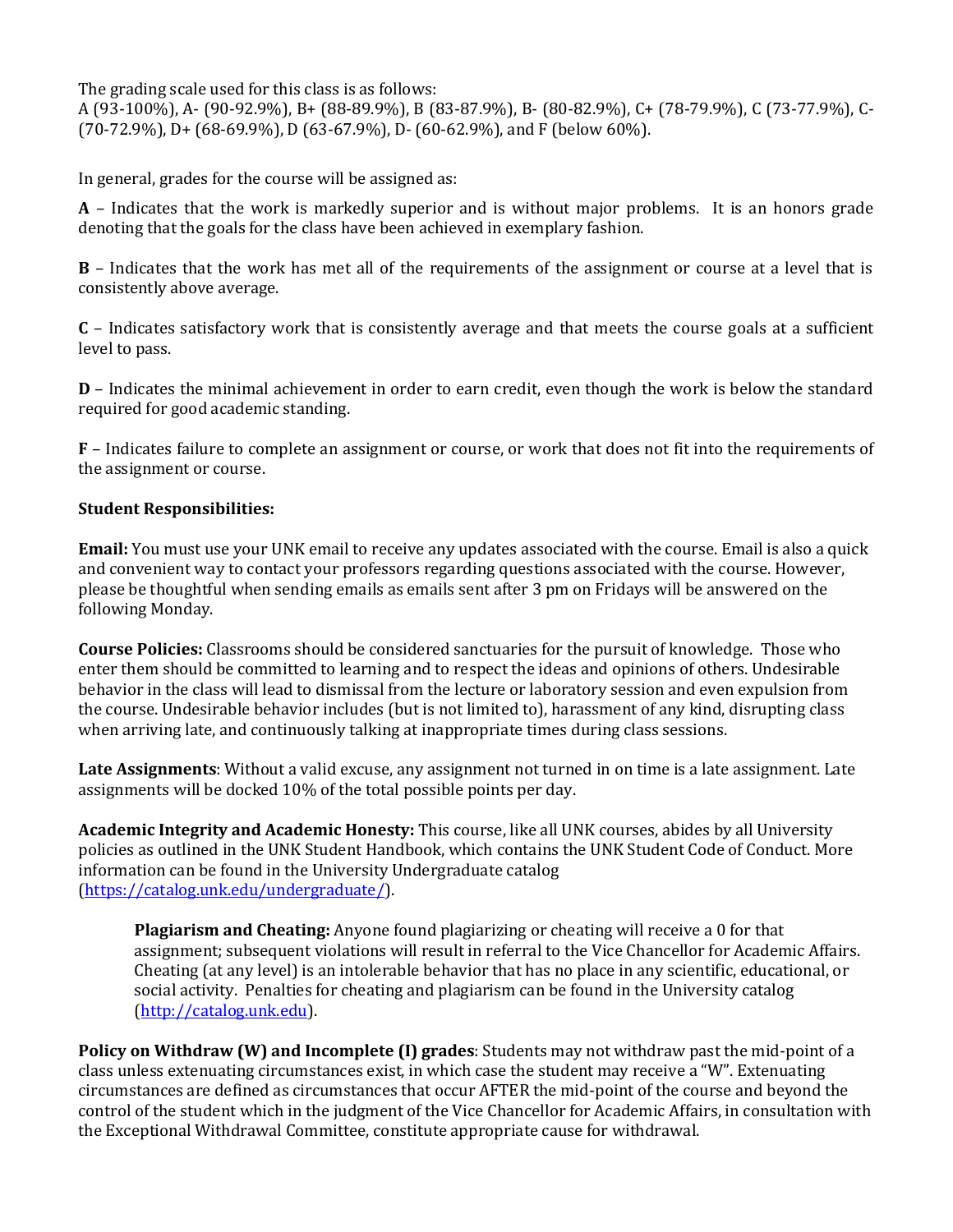The grading scale used for this class is as follows:

A (93-100%), A- (90-92.9%), B+ (88-89.9%), B (83-87.9%), B- (80-82.9%), C+ (78-79.9%), C (73-77.9%), C- (70-72.9%), D+ (68-69.9%), D (63-67.9%), D- (60-62.9%), and F (below 60%).

In general, grades for the course will be assigned as:

**A** – Indicates that the work is markedly superior and is without major problems. It is an honors grade denoting that the goals for the class have been achieved in exemplary fashion.

**B** – Indicates that the work has met all of the requirements of the assignment or course at a level that is consistently above average.

**C** – Indicates satisfactory work that is consistently average and that meets the course goals at a sufficient level to pass.

**D** – Indicates the minimal achievement in order to earn credit, even though the work is below the standard required for good academic standing.

**F** – Indicates failure to complete an assignment or course, or work that does not fit into the requirements of the assignment or course.

# **Student Responsibilities:**

**Email:** You must use your UNK email to receive any updates associated with the course. Email is also a quick and convenient way to contact your professors regarding questions associated with the course. However, please be thoughtful when sending emails as emails sent after 3 pm on Fridays will be answered on the following Monday.

**Course Policies:** Classrooms should be considered sanctuaries for the pursuit of knowledge. Those who enter them should be committed to learning and to respect the ideas and opinions of others. Undesirable behavior in the class will lead to dismissal from the lecture or laboratory session and even expulsion from the course. Undesirable behavior includes (but is not limited to), harassment of any kind, disrupting class when arriving late, and continuously talking at inappropriate times during class sessions.

**Late Assignments**: Without a valid excuse, any assignment not turned in on time is a late assignment. Late assignments will be docked 10% of the total possible points per day.

**Academic Integrity and Academic Honesty:** This course, like all UNK courses, abides by all University policies as outlined in the UNK Student Handbook, which contains the UNK Student Code of Conduct. More information can be found in the University Undergraduate catalog [\(https://catalog.unk.edu/undergraduate/\)](https://catalog.unk.edu/undergraduate/).

**Plagiarism and Cheating:** Anyone found plagiarizing or cheating will receive a 0 for that assignment; subsequent violations will result in referral to the Vice Chancellor for Academic Affairs. Cheating (at any level) is an intolerable behavior that has no place in any scientific, educational, or social activity. Penalties for cheating and plagiarism can be found in the University catalog [\(http://catalog.unk.edu\)](http://catalog.unk.edu/).

**Policy on Withdraw (W) and Incomplete (I) grades**: Students may not withdraw past the mid-point of a class unless extenuating circumstances exist, in which case the student may receive a "W". Extenuating circumstances are defined as circumstances that occur AFTER the mid-point of the course and beyond the control of the student which in the judgment of the Vice Chancellor for Academic Affairs, in consultation with the Exceptional Withdrawal Committee, constitute appropriate cause for withdrawal.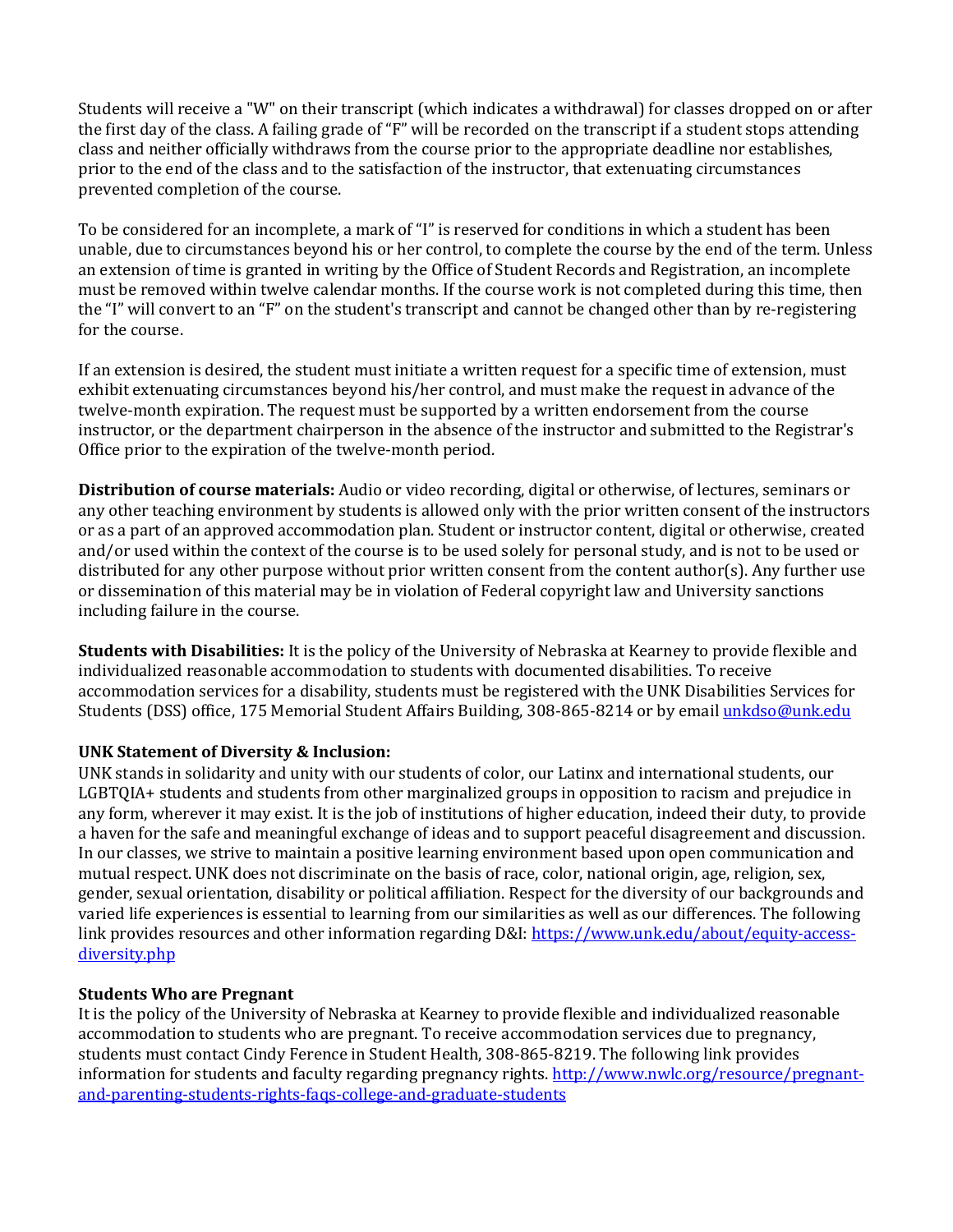Students will receive a "W" on their transcript (which indicates a withdrawal) for classes dropped on or after the first day of the class. A failing grade of "F" will be recorded on the transcript if a student stops attending class and neither officially withdraws from the course prior to the appropriate deadline nor establishes, prior to the end of the class and to the satisfaction of the instructor, that extenuating circumstances prevented completion of the course.

To be considered for an incomplete, a mark of "I" is reserved for conditions in which a student has been unable, due to circumstances beyond his or her control, to complete the course by the end of the term. Unless an extension of time is granted in writing by the Office of Student Records and Registration, an incomplete must be removed within twelve calendar months. If the course work is not completed during this time, then the "I" will convert to an "F" on the student's transcript and cannot be changed other than by re-registering for the course.

If an extension is desired, the student must initiate a written request for a specific time of extension, must exhibit extenuating circumstances beyond his/her control, and must make the request in advance of the twelve-month expiration. The request must be supported by a written endorsement from the course instructor, or the department chairperson in the absence of the instructor and submitted to the Registrar's Office prior to the expiration of the twelve-month period.

**Distribution of course materials:** Audio or video recording, digital or otherwise, of lectures, seminars or any other teaching environment by students is allowed only with the prior written consent of the instructors or as a part of an approved accommodation plan. Student or instructor content, digital or otherwise, created and/or used within the context of the course is to be used solely for personal study, and is not to be used or distributed for any other purpose without prior written consent from the content author(s). Any further use or dissemination of this material may be in violation of Federal copyright law and University sanctions including failure in the course.

**Students with Disabilities:** It is the policy of the University of Nebraska at Kearney to provide flexible and individualized reasonable accommodation to students with documented disabilities. To receive accommodation services for a disability, students must be registered with the UNK Disabilities Services for Students (DSS) office, 175 Memorial Student Affairs Building, 308-865-8214 or by emai[l unkdso@unk.edu](mailto:unkdso@unk.edu)

# **UNK Statement of Diversity & Inclusion:**

UNK stands in solidarity and unity with our students of color, our Latinx and international students, our LGBTQIA+ students and students from other marginalized groups in opposition to racism and prejudice in any form, wherever it may exist. It is the job of institutions of higher education, indeed their duty, to provide a haven for the safe and meaningful exchange of ideas and to support peaceful disagreement and discussion. In our classes, we strive to maintain a positive learning environment based upon open communication and mutual respect. UNK does not discriminate on the basis of race, color, national origin, age, religion, sex, gender, sexual orientation, disability or political affiliation. Respect for the diversity of our backgrounds and varied life experiences is essential to learning from our similarities as well as our differences. The following link provides resources and other information regarding D&I[: https://www.unk.edu/about/equity-access](https://www.unk.edu/about/equity-access-diversity.php)[diversity.php](https://www.unk.edu/about/equity-access-diversity.php)

# **Students Who are Pregnant**

It is the policy of the University of Nebraska at Kearney to provide flexible and individualized reasonable accommodation to students who are pregnant. To receive accommodation services due to pregnancy, students must contact Cindy Ference in Student Health, 308-865-8219. The following link provides information for students and faculty regarding pregnancy rights. [http://www.nwlc.org/resource/pregnant](https://urldefense.proofpoint.com/v2/url?u=http-3A__www.nwlc.org_resource_pregnant-2Dand-2Dparenting-2Dstudents-2Drights-2Dfaqs-2Dcollege-2Dand-2Dgraduate-2Dstudents&d=DwMFAg&c=Cu5g146wZdoqVuKpTNsYHeFX_rg6kWhlkLF8Eft-wwo&r=BJkIhAaMtWY7PlqIhIOyVw&m=RgBL3s2VNHfvD5ReMK2q_PhwYU8dbEt1vxs1BO4WkpQ&s=MmB91XAzaW-E7UPMXPGx9tWJQbTWJYyYzM8gLjhEzQ0&e=)[and-parenting-students-rights-faqs-college-and-graduate-students](https://urldefense.proofpoint.com/v2/url?u=http-3A__www.nwlc.org_resource_pregnant-2Dand-2Dparenting-2Dstudents-2Drights-2Dfaqs-2Dcollege-2Dand-2Dgraduate-2Dstudents&d=DwMFAg&c=Cu5g146wZdoqVuKpTNsYHeFX_rg6kWhlkLF8Eft-wwo&r=BJkIhAaMtWY7PlqIhIOyVw&m=RgBL3s2VNHfvD5ReMK2q_PhwYU8dbEt1vxs1BO4WkpQ&s=MmB91XAzaW-E7UPMXPGx9tWJQbTWJYyYzM8gLjhEzQ0&e=)